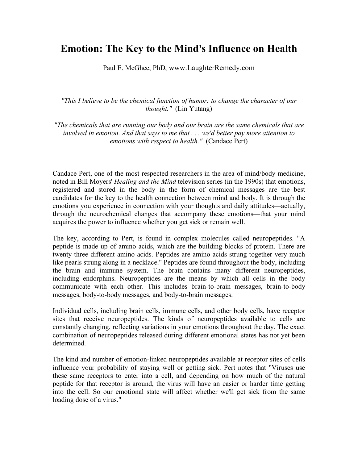## **Emotion: The Key to the Mind's Influence on Health**

Paul E. McGhee, PhD, www.LaughterRemedy.com

*"This I believe to be the chemical function of humor: to change the character of our thought."* (Lin Yutang)

*"The chemicals that are running our body and our brain are the same chemicals that are involved in emotion. And that says to me that . . . we'd better pay more attention to emotions with respect to health."* (Candace Pert)

Candace Pert, one of the most respected researchers in the area of mind/body medicine, noted in Bill Moyers' *Healing and the Mind* television series (in the 1990s) that emotions, registered and stored in the body in the form of chemical messages are the best candidates for the key to the health connection between mind and body. It is through the emotions you experience in connection with your thoughts and daily attitudes—actually, through the neurochemical changes that accompany these emotions—that your mind acquires the power to influence whether you get sick or remain well.

The key, according to Pert, is found in complex molecules called neuropeptides. "A peptide is made up of amino acids, which are the building blocks of protein. There are twenty-three different amino acids. Peptides are amino acids strung together very much like pearls strung along in a necklace." Peptides are found throughout the body, including the brain and immune system. The brain contains many different neuropeptides, including endorphins. Neuropeptides are the means by which all cells in the body communicate with each other. This includes brain-to-brain messages, brain-to-body messages, body-to-body messages, and body-to-brain messages.

Individual cells, including brain cells, immune cells, and other body cells, have receptor sites that receive neuropeptides. The kinds of neuropeptides available to cells are constantly changing, reflecting variations in your emotions throughout the day. The exact combination of neuropeptides released during different emotional states has not yet been determined.

The kind and number of emotion-linked neuropeptides available at receptor sites of cells influence your probability of staying well or getting sick. Pert notes that "Viruses use these same receptors to enter into a cell, and depending on how much of the natural peptide for that receptor is around, the virus will have an easier or harder time getting into the cell. So our emotional state will affect whether we'll get sick from the same loading dose of a virus."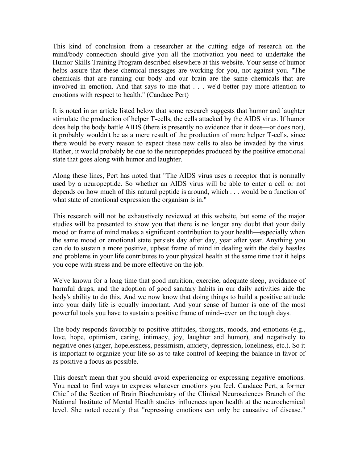This kind of conclusion from a researcher at the cutting edge of research on the mind/body connection should give you all the motivation you need to undertake the Humor Skills Training Program described elsewhere at this website. Your sense of humor helps assure that these chemical messages are working for you, not against you. "The chemicals that are running our body and our brain are the same chemicals that are involved in emotion. And that says to me that . . . we'd better pay more attention to emotions with respect to health." (Candace Pert)

It is noted in an article listed below that some research suggests that humor and laughter stimulate the production of helper T-cells, the cells attacked by the AIDS virus. If humor does help the body battle AIDS (there is presently no evidence that it does—or does not), it probably wouldn't be as a mere result of the production of more helper T-cells, since there would be every reason to expect these new cells to also be invaded by the virus. Rather, it would probably be due to the neuropeptides produced by the positive emotional state that goes along with humor and laughter.

Along these lines, Pert has noted that "The AIDS virus uses a receptor that is normally used by a neuropeptide. So whether an AIDS virus will be able to enter a cell or not depends on how much of this natural peptide is around, which . . . would be a function of what state of emotional expression the organism is in."

This research will not be exhaustively reviewed at this website, but some of the major studies will be presented to show you that there is no longer any doubt that your daily mood or frame of mind makes a significant contribution to your health—especially when the same mood or emotional state persists day after day, year after year. Anything you can do to sustain a more positive, upbeat frame of mind in dealing with the daily hassles and problems in your life contributes to your physical health at the same time that it helps you cope with stress and be more effective on the job.

We've known for a long time that good nutrition, exercise, adequate sleep, avoidance of harmful drugs, and the adoption of good sanitary habits in our daily activities aide the body's ability to do this. And we now know that doing things to build a positive attitude into your daily life is equally important. And your sense of humor is one of the most powerful tools you have to sustain a positive frame of mind--even on the tough days.

The body responds favorably to positive attitudes, thoughts, moods, and emotions (e.g., love, hope, optimism, caring, intimacy, joy, laughter and humor), and negatively to negative ones (anger, hopelessness, pessimism, anxiety, depression, loneliness, etc.). So it is important to organize your life so as to take control of keeping the balance in favor of as positive a focus as possible.

This doesn't mean that you should avoid experiencing or expressing negative emotions. You need to find ways to express whatever emotions you feel. Candace Pert, a former Chief of the Section of Brain Biochemistry of the Clinical Neurosciences Branch of the National Institute of Mental Health studies influences upon health at the neurochemical level. She noted recently that "repressing emotions can only be causative of disease."